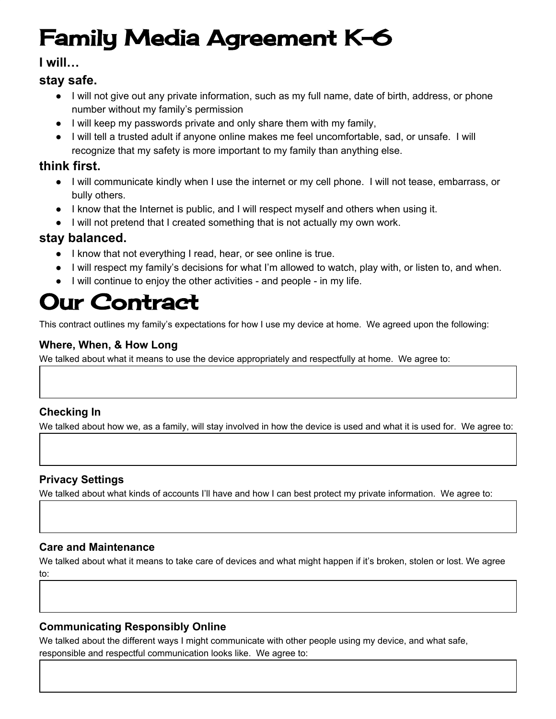# Family Media Agreement K-6

## **I will…**

## **stay safe.**

- I will not give out any private information, such as my full name, date of birth, address, or phone number without my family's permission
- I will keep my passwords private and only share them with my family,
- I will tell a trusted adult if anyone online makes me feel uncomfortable, sad, or unsafe. I will recognize that my safety is more important to my family than anything else.

# **think first.**

- I will communicate kindly when I use the internet or my cell phone. I will not tease, embarrass, or bully others.
- I know that the Internet is public, and I will respect myself and others when using it.
- I will not pretend that I created something that is not actually my own work.

## **stay balanced.**

- I know that not everything I read, hear, or see online is true.
- I will respect my family's decisions for what I'm allowed to watch, play with, or listen to, and when.
- I will continue to enjoy the other activities and people in my life.

# Our Contract

This contract outlines my family's expectations for how I use my device at home. We agreed upon the following:

#### **Where, When, & How Long**

We talked about what it means to use the device appropriately and respectfully at home. We agree to:

### **Checking In**

We talked about how we, as a family, will stay involved in how the device is used and what it is used for. We agree to:

### **Privacy Settings**

We talked about what kinds of accounts I'll have and how I can best protect my private information. We agree to:

#### **Care and Maintenance**

We talked about what it means to take care of devices and what might happen if it's broken, stolen or lost. We agree to:

### **Communicating Responsibly Online**

We talked about the different ways I might communicate with other people using my device, and what safe, responsible and respectful communication looks like. We agree to: